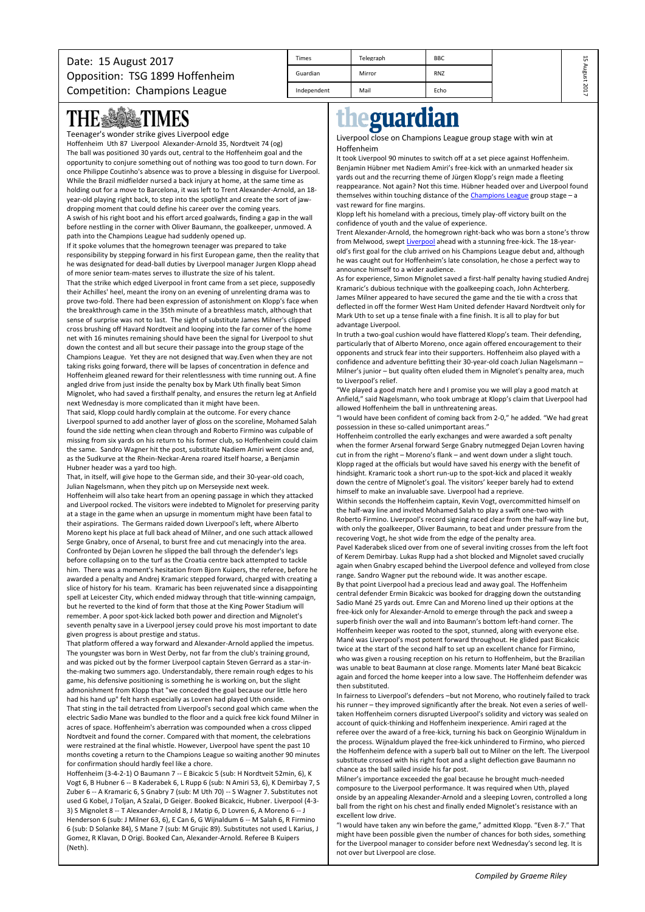| Times       | Telegraph | <b>BBC</b> | 늕      |  |
|-------------|-----------|------------|--------|--|
| Guardian    | Mirror    | <b>RNZ</b> | 험<br>Ā |  |
| Independent | Mail      | Echo       | 201    |  |

## **THE SANS TIMES**

Teenager's wonder strike gives Liverpool edge

Hoffenheim Uth 87 Liverpool Alexander-Arnold 35, Nordtveit 74 (og)

The ball was positioned 30 yards out, central to the Hoffenheim goal and the opportunity to conjure something out of nothing was too good to turn down. For once Philippe Coutinho's absence was to prove a blessing in disguise for Liverpool. While the Brazil midfielder nursed a back injury at home, at the same time as holding out for a move to Barcelona, it was left to Trent Alexander-Arnold, an 18 year-old playing right back, to step into the spotlight and create the sort of jaw-

dropping moment that could define his career over the coming years. A swish of his right boot and his effort arced goalwards, finding a gap in the wall before nestling in the corner with Oliver Baumann, the goalkeeper, unmoved. A path into the Champions League had suddenly opened up.

If it spoke volumes that the homegrown teenager was prepared to take responsibility by stepping forward in his first European game, then the reality that he was designated for dead-ball duties by Liverpool manager Jurgen Klopp ahead of more senior team-mates serves to illustrate the size of his talent.

That the strike which edged Liverpool in front came from a set piece, supposedly their Achilles' heel, meant the irony on an evening of unrelenting drama was to prove two-fold. There had been expression of astonishment on Klopp's face when the breakthrough came in the 35th minute of a breathless match, although that sense of surprise was not to last. The sight of substitute James Milner's clipped cross brushing off Havard Nordtveit and looping into the far corner of the home net with 16 minutes remaining should have been the signal for Liverpool to shut down the contest and all but secure their passage into the group stage of the Champions League. Yet they are not designed that way.Even when they are not taking risks going forward, there will be lapses of concentration in defence and Hoffenheim gleaned reward for their relentlessness with time running out. A fine angled drive from just inside the penalty box by Mark Uth finally beat Simon Mignolet, who had saved a firsthalf penalty, and ensures the return leg at Anfield next Wednesday is more complicated than it might have been.

That said, Klopp could hardly complain at the outcome. For every chance Liverpool spurned to add another layer of gloss on the scoreline, Mohamed Salah found the side netting when clean through and Roberto Firmino was culpable of missing from six yards on his return to his former club, so Hoffenheim could claim the same. Sandro Wagner hit the post, substitute Nadiem Amiri went close and, as the Sudkurve at the Rhein-Neckar-Arena roared itself hoarse, a Benjamin Hubner header was a yard too high.

That, in itself, will give hope to the German side, and their 30-year-old coach, Julian Nagelsmann, when they pitch up on Merseyside next week. Hoffenheim will also take heart from an opening passage in which they attacked and Liverpool rocked. The visitors were indebted to Mignolet for preserving parity at a stage in the game when an upsurge in momentum might have been fatal to their aspirations. The Germans raided down Liverpool's left, where Alberto Moreno kept his place at full back ahead of Milner, and one such attack allowed Serge Gnabry, once of Arsenal, to burst free and cut menacingly into the area. Confronted by Dejan Lovren he slipped the ball through the defender's legs before collapsing on to the turf as the Croatia centre back attempted to tackle him. There was a moment's hesitation from Bjorn Kuipers, the referee, before he awarded a penalty and Andrej Kramaric stepped forward, charged with creating a slice of history for his team. Kramaric has been rejuvenated since a disappointing spell at Leicester City, which ended midway through that title-winning campaign, but he reverted to the kind of form that those at the King Power Stadium will remember. A poor spot-kick lacked both power and direction and Mignolet's seventh penalty save in a Liverpool jersey could prove his most important to date given progress is about prestige and status.

That platform offered a way forward and Alexander-Arnold applied the impetus. The youngster was born in West Derby, not far from the club's training ground, and was picked out by the former Liverpool captain Steven Gerrard as a star-inthe-making two summers ago. Understandably, there remain rough edges to his game, his defensive positioning is something he is working on, but the slight admonishment from Klopp that "we conceded the goal because our little hero had his hand up" felt harsh especially as Lovren had played Uth onside.

That sting in the tail detracted from Liverpool's second goal which came when the electric Sadio Mane was bundled to the floor and a quick free kick found Milner in acres of space. Hoffenheim's aberration was compounded when a cross clipped Nordtveit and found the corner. Compared with that moment, the celebrations were restrained at the final whistle. However, Liverpool have spent the past 10 months coveting a return to the Champions League so waiting another 90 minutes for confirmation should hardly feel like a chore.

Hoffenheim (3-4-2-1) O Baumann 7 -- E Bicakcic 5 (sub: H Nordtveit 52min, 6), K Vogt 6, B Hubner 6 -- B Kaderabek 6, L Rupp 6 (sub: N Amiri 53, 6), K Demirbay 7, S Zuber 6 -- A Kramaric 6, S Gnabry 7 (sub: M Uth 70) -- S Wagner 7. Substitutes not used G Kobel, J Toljan, A Szalai, D Geiger. Booked Bicakcic, Hubner. Liverpool (4-3- 3) S Mignolet 8 -- T Alexander-Arnold 8, J Matip 6, D Lovren 6, A Moreno 6 -- J Henderson 6 (sub: J Milner 63, 6), E Can 6, G Wijnaldum 6 -- M Salah 6, R Firmino 6 (sub: D Solanke 84), S Mane 7 (sub: M Grujic 89). Substitutes not used L Karius, J Gomez, R Klavan, D Origi. Booked Can, Alexander-Arnold. Referee B Kuipers (Neth).

## eguardian

Liverpool close on Champions League group stage with win at Hoffenheim

It took Liverpool 90 minutes to switch off at a set piece against Hoffenheim. Benjamin Hübner met Nadiem Amiri's free-kick with an unmarked header six yards out and the recurring theme of Jürgen Klopp's reign made a fleeting reappearance. Not again? Not this time. Hübner headed over and Liverpool found themselves within touching distance of th[e Champions League](https://www.theguardian.com/football/championsleague) group stage – a vast reward for fine margins.

Klopp left his homeland with a precious, timely play-off victory built on the confidence of youth and the value of experience.

Trent Alexander-Arnold, the homegrown right-back who was born a stone's throw from Melwood, swep[t Liverpool](https://www.theguardian.com/football/liverpool) ahead with a stunning free-kick. The 18-yearold's first goal for the club arrived on his Champions League debut and, although he was caught out for Hoffenheim's late consolation, he chose a perfect way to announce himself to a wider audience.

As for experience, Simon Mignolet saved a first-half penalty having studied Andrej Kramaric's dubious technique with the goalkeeping coach, John Achterberg. James Milner appeared to have secured the game and the tie with a cross that deflected in off the former West Ham United defender Havard Nordtveit only for Mark Uth to set up a tense finale with a fine finish. It is all to play for but advantage Liverpool.

In truth a two-goal cushion would have flattered Klopp's team. Their defending, particularly that of Alberto Moreno, once again offered encouragement to their opponents and struck fear into their supporters. Hoffenheim also played with a confidence and adventure befitting their 30-year-old coach Julian Nagelsmann – Milner's junior – but quality often eluded them in Mignolet's penalty area, much to Liverpool's relief.

"We played a good match here and I promise you we will play a good match at Anfield," said Nagelsmann, who took umbrage at Klopp's claim that Liverpool had allowed Hoffenheim the ball in unthreatening areas.

"I would have been confident of coming back from 2-0," he added. "We had great possession in these so-called unimportant areas."

Hoffenheim controlled the early exchanges and were awarded a soft penalty when the former Arsenal forward Serge Gnabry nutmegged Dejan Lovren having cut in from the right – Moreno's flank – and went down under a slight touch. Klopp raged at the officials but would have saved his energy with the benefit of hindsight. Kramaric took a short run-up to the spot-kick and placed it weakly down the centre of Mignolet's goal. The visitors' keeper barely had to extend himself to make an invaluable save. Liverpool had a reprieve.

Within seconds the Hoffenheim captain, Kevin Vogt, overcommitted himself on the half-way line and invited Mohamed Salah to play a swift one-two with Roberto Firmino. Liverpool's record signing raced clear from the half-way line but, with only the goalkeeper, Oliver Baumann, to beat and under pressure from the recovering Vogt, he shot wide from the edge of the penalty area.

Pavel Kaderabek sliced over from one of several inviting crosses from the left foot of Kerem Demirbay. Lukas Rupp had a shot blocked and Mignolet saved crucially again when Gnabry escaped behind the Liverpool defence and volleyed from close range. Sandro Wagner put the rebound wide. It was another escape. By that point Liverpool had a precious lead and away goal. The Hoffenheim central defender Ermin Bicakcic was booked for dragging down the outstanding Sadio Mané 25 yards out. Emre Can and Moreno lined up their options at the free-kick only for Alexander-Arnold to emerge through the pack and sweep a superb finish over the wall and into Baumann's bottom left-hand corner. The Hoffenheim keeper was rooted to the spot, stunned, along with everyone else. Mané was Liverpool's most potent forward throughout. He glided past Bicakcic twice at the start of the second half to set up an excellent chance for Firmino, who was given a rousing reception on his return to Hoffenheim, but the Brazilian was unable to beat Baumann at close range. Moments later Mané beat Bicakcic

again and forced the home keeper into a low save. The Hoffenheim defender was then substituted. In fairness to Liverpool's defenders –but not Moreno, who routinely failed to track

his runner – they improved significantly after the break. Not even a series of welltaken Hoffenheim corners disrupted Liverpool's solidity and victory was sealed on account of quick-thinking and Hoffenheim inexperience. Amiri raged at the referee over the award of a free-kick, turning his back on Georginio Wijnaldum in the process. Wijnaldum played the free-kick unhindered to Firmino, who pierced the Hoffenheim defence with a superb ball out to Milner on the left. The Liverpool substitute crossed with his right foot and a slight deflection gave Baumann no chance as the ball sailed inside his far post.

Milner's importance exceeded the goal because he brought much-needed composure to the Liverpool performance. It was required when Uth, played onside by an appealing Alexander-Arnold and a sleeping Lovren, controlled a long ball from the right on his chest and finally ended Mignolet's resistance with an excellent low drive.

"I would have taken any win before the game," admitted Klopp. "Even 8-7." That might have been possible given the number of chances for both sides, something for the Liverpool manager to consider before next Wednesday's second leg. It is not over but Liverpool are close.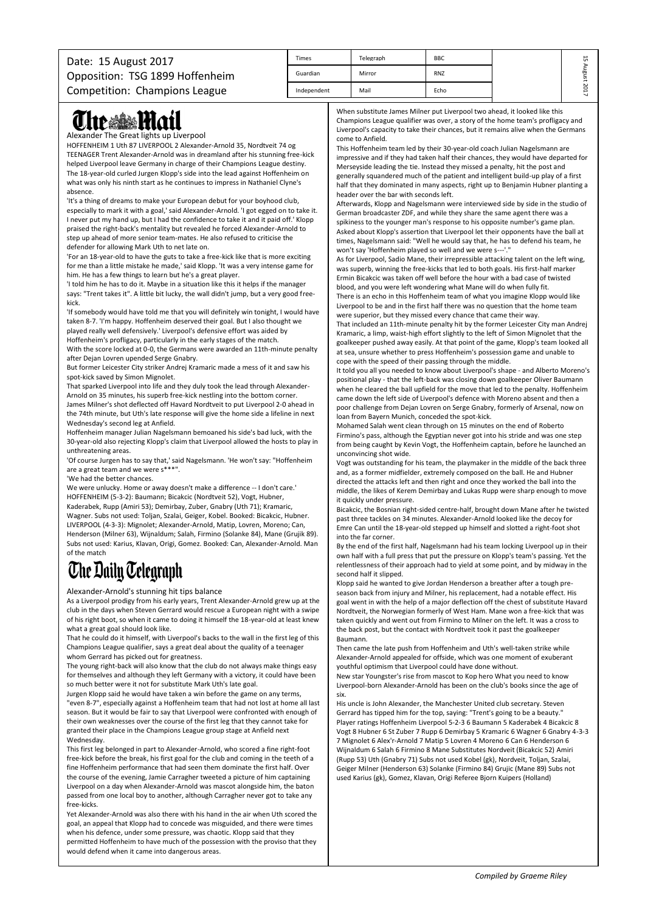#### Date: 15 August 2017 Opposition: TSG 1899 Hoffenheim Competition: Champions League

| <b>Times</b> | Telegraph | <b>BBC</b> | Ğ     |  |
|--------------|-----------|------------|-------|--|
| Guardian     | Mirror    | <b>RNZ</b> | ngust |  |
| Independent  | Mail      | Echo       | 201   |  |
|              |           |            |       |  |

## **The Mail**

Alexander The Great lights up Liverpool

HOFFENHEIM 1 Uth 87 LIVERPOOL 2 Alexander-Arnold 35, Nordtveit 74 og TEENAGER Trent Alexander-Arnold was in dreamland after his stunning free-kick helped Liverpool leave Germany in charge of their Champions League destiny. The 18-year-old curled Jurgen Klopp's side into the lead against Hoffenheim on what was only his ninth start as he continues to impress in Nathaniel Clyne's absence.

'It's a thing of dreams to make your European debut for your boyhood club, especially to mark it with a goal,' said Alexander-Arnold. 'I got egged on to take it. I never put my hand up, but I had the confidence to take it and it paid off.' Klopp praised the right-back's mentality but revealed he forced Alexander-Arnold to step up ahead of more senior team-mates. He also refused to criticise the defender for allowing Mark Uth to net late on.

'For an 18-year-old to have the guts to take a free-kick like that is more exciting for me than a little mistake he made,' said Klopp. 'It was a very intense game for him. He has a few things to learn but he's a great player.

'I told him he has to do it. Maybe in a situation like this it helps if the manager says: "Trent takes it". A little bit lucky, the wall didn't jump, but a very good freekick.

'If somebody would have told me that you will definitely win tonight, I would have taken 8-7. 'I'm happy. Hoffenheim deserved their goal. But I also thought we played really well defensively.' Liverpool's defensive effort was aided by Hoffenheim's profligacy, particularly in the early stages of the match. With the score locked at 0-0, the Germans were awarded an 11th-minute penalty after Dejan Lovren upended Serge Gnabry.

But former Leicester City striker Andrej Kramaric made a mess of it and saw his spot-kick saved by Simon Mignolet.

That sparked Liverpool into life and they duly took the lead through Alexander-

Arnold on 35 minutes, his superb free-kick nestling into the bottom corner. James Milner's shot deflected off Havard Nordtveit to put Liverpool 2-0 ahead in the 74th minute, but Uth's late response will give the home side a lifeline in next Wednesday's second leg at Anfield.

Hoffenheim manager Julian Nagelsmann bemoaned his side's bad luck, with the 30-year-old also rejecting Klopp's claim that Liverpool allowed the hosts to play in unthreatening areas.

'Of course Jurgen has to say that,' said Nagelsmann. 'He won't say: "Hoffenheim are a great team and we were s\*\*\*".

'We had the better chances.

We were unlucky. Home or away doesn't make a difference -- I don't care.' HOFFENHEIM (5-3-2): Baumann; Bicakcic (Nordtveit 52), Vogt, Hubner, Kaderabek, Rupp (Amiri 53); Demirbay, Zuber, Gnabry (Uth 71); Kramaric, Wagner. Subs not used: Toljan, Szalai, Geiger, Kobel. Booked: Bicakcic, Hubner. LIVERPOOL (4-3-3): Mignolet; Alexander-Arnold, Matip, Lovren, Moreno; Can, Henderson (Milner 63), Wijnaldum; Salah, Firmino (Solanke 84), Mane (Grujik 89). Subs not used: Karius, Klavan, Origi, Gomez. Booked: Can, Alexander-Arnold. Man of the match

## **The Daily Telegraph**

Alexander-Arnold's stunning hit tips balance

As a Liverpool prodigy from his early years, Trent Alexander-Arnold grew up at the club in the days when Steven Gerrard would rescue a European night with a swipe of his right boot, so when it came to doing it himself the 18-year-old at least knew what a great goal should look like.

That he could do it himself, with Liverpool's backs to the wall in the first leg of this Champions League qualifier, says a great deal about the quality of a teenager whom Gerrard has picked out for greatness.

The young right-back will also know that the club do not always make things easy for themselves and although they left Germany with a victory, it could have been so much better were it not for substitute Mark Uth's late goal.

Jurgen Klopp said he would have taken a win before the game on any terms, "even 8-7", especially against a Hoffenheim team that had not lost at home all last season. But it would be fair to say that Liverpool were confronted with enough of their own weaknesses over the course of the first leg that they cannot take for granted their place in the Champions League group stage at Anfield next Wednesday.

This first leg belonged in part to Alexander-Arnold, who scored a fine right-foot free-kick before the break, his first goal for the club and coming in the teeth of a fine Hoffenheim performance that had seen them dominate the first half. Over the course of the evening, Jamie Carragher tweeted a picture of him captaining Liverpool on a day when Alexander-Arnold was mascot alongside him, the baton passed from one local boy to another, although Carragher never got to take any free-kicks.

Yet Alexander-Arnold was also there with his hand in the air when Uth scored the goal, an appeal that Klopp had to concede was misguided, and there were times when his defence, under some pressure, was chaotic. Klopp said that they permitted Hoffenheim to have much of the possession with the proviso that they would defend when it came into dangerous areas.

When substitute James Milner put Liverpool two ahead, it looked like this Champions League qualifier was over, a story of the home team's profligacy and Liverpool's capacity to take their chances, but it remains alive when the Germans come to Anfield.

This Hoffenheim team led by their 30-year-old coach Julian Nagelsmann are impressive and if they had taken half their chances, they would have departed for Merseyside leading the tie. Instead they missed a penalty, hit the post and generally squandered much of the patient and intelligent build-up play of a first half that they dominated in many aspects, right up to Benjamin Hubner planting a header over the bar with seconds left.

Afterwards, Klopp and Nagelsmann were interviewed side by side in the studio of German broadcaster ZDF, and while they share the same agent there was a spikiness to the younger man's response to his opposite number's game plan. Asked about Klopp's assertion that Liverpool let their opponents have the ball at times, Nagelsmann said: "Well he would say that, he has to defend his team, he won't say 'Hoffenheim played so well and we were s--

As for Liverpool, Sadio Mane, their irrepressible attacking talent on the left wing, was superb, winning the free-kicks that led to both goals. His first-half marker Ermin Bicakcic was taken off well before the hour with a bad case of twisted blood, and you were left wondering what Mane will do when fully fit.

There is an echo in this Hoffenheim team of what you imagine Klopp would like Liverpool to be and in the first half there was no question that the home team were superior, but they missed every chance that came their way.

That included an 11th-minute penalty hit by the former Leicester City man Andrej Kramaric, a limp, waist-high effort slightly to the left of Simon Mignolet that the goalkeeper pushed away easily. At that point of the game, Klopp's team looked all at sea, unsure whether to press Hoffenheim's possession game and unable to cope with the speed of their passing through the middle.

It told you all you needed to know about Liverpool's shape - and Alberto Moreno's positional play - that the left-back was closing down goalkeeper Oliver Baumann when he cleared the ball upfield for the move that led to the penalty. Hoffenheim came down the left side of Liverpool's defence with Moreno absent and then a poor challenge from Dejan Lovren on Serge Gnabry, formerly of Arsenal, now on loan from Bayern Munich, conceded the spot-kick.

Mohamed Salah went clean through on 15 minutes on the end of Roberto Firmino's pass, although the Egyptian never got into his stride and was one step from being caught by Kevin Vogt, the Hoffenheim captain, before he launched an unconvincing shot wide.

Vogt was outstanding for his team, the playmaker in the middle of the back three and, as a former midfielder, extremely composed on the ball. He and Hubner directed the attacks left and then right and once they worked the ball into the middle, the likes of Kerem Demirbay and Lukas Rupp were sharp enough to move it quickly under pressure.

Bicakcic, the Bosnian right-sided centre-half, brought down Mane after he twisted past three tackles on 34 minutes. Alexander-Arnold looked like the decoy for Emre Can until the 18-year-old stepped up himself and slotted a right-foot shot into the far corner.

By the end of the first half, Nagelsmann had his team locking Liverpool up in their own half with a full press that put the pressure on Klopp's team's passing. Yet the relentlessness of their approach had to yield at some point, and by midway in the second half it slipped.

Klopp said he wanted to give Jordan Henderson a breather after a tough preseason back from injury and Milner, his replacement, had a notable effect. His goal went in with the help of a major deflection off the chest of substitute Havard Nordtveit, the Norwegian formerly of West Ham. Mane won a free-kick that was taken quickly and went out from Firmino to Milner on the left. It was a cross to the back post, but the contact with Nordtveit took it past the goalkeeper Baumann.

Then came the late push from Hoffenheim and Uth's well-taken strike while Alexander-Arnold appealed for offside, which was one moment of exuberant youthful optimism that Liverpool could have done without.

New star Youngster's rise from mascot to Kop hero What you need to know Liverpool-born Alexander-Arnold has been on the club's books since the age of six.

His uncle is John Alexander, the Manchester United club secretary. Steven Gerrard has tipped him for the top, saying: "Trent's going to be a beauty." Player ratings Hoffenheim Liverpool 5-2-3 6 Baumann 5 Kaderabek 4 Bicakcic 8 Vogt 8 Hubner 6 St Zuber 7 Rupp 6 Demirbay 5 Kramaric 6 Wagner 6 Gnabry 4-3-3 7 Mignolet 6 Alex'r-Arnold 7 Matip 5 Lovren 4 Moreno 6 Can 6 Henderson 6 Wijnaldum 6 Salah 6 Firmino 8 Mane Substitutes Nordveit (Bicakcic 52) Amiri (Rupp 53) Uth (Gnabry 71) Subs not used Kobel (gk), Nordveit, Toljan, Szalai, Geiger Milner (Henderson 63) Solanke (Firmino 84) Grujic (Mane 89) Subs not used Karius (gk), Gomez, Klavan, Origi Referee Bjorn Kuipers (Holland)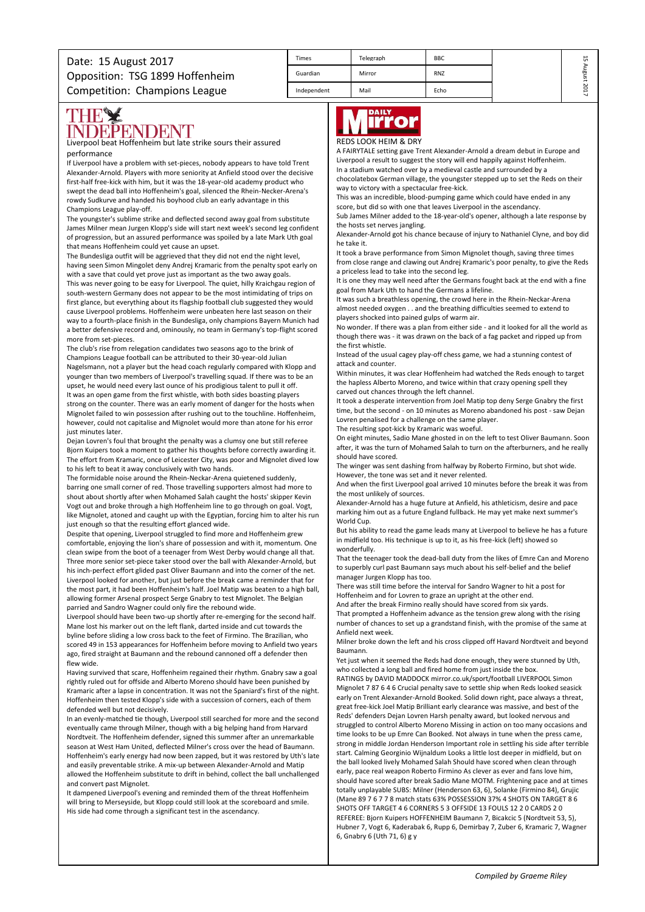#### Date: 15 August 2017 Opposition: TSG 1899 Hoffenheim Competition: Champions League

| Times       | Telegraph | <b>BBC</b> | ⊢<br><b>UT</b> |
|-------------|-----------|------------|----------------|
| Guardian    | Mirror    | <b>RNZ</b> | ရှာ<br>š       |
| Independent | Mail      | Echo       | 201            |

### **THE X** INDEPENDENT<br>Liverpool beat Hoffenheim but late strike sours their assured

#### performance

If Liverpool have a problem with set-pieces, nobody appears to have told Trent Alexander-Arnold. Players with more seniority at Anfield stood over the decisive first-half free-kick with him, but it was the 18-year-old academy product who swept the dead ball into Hoffenheim's goal, silenced the Rhein-Necker-Arena's rowdy Sudkurve and handed his boyhood club an early advantage in this Champions League play-off.

The youngster's sublime strike and deflected second away goal from substitute James Milner mean Jurgen Klopp's side will start next week's second leg confident of progression, but an assured performance was spoiled by a late Mark Uth goal that means Hoffenheim could yet cause an upset.

The Bundesliga outfit will be aggrieved that they did not end the night level, having seen Simon Mingolet deny Andrej Kramaric from the penalty spot early on with a save that could yet prove just as important as the two away goals.

This was never going to be easy for Liverpool. The quiet, hilly Kraichgau region of south-western Germany does not appear to be the most intimidating of trips on first glance, but everything about its flagship football club suggested they would cause Liverpool problems. Hoffenheim were unbeaten here last season on their way to a fourth-place finish in the Bundesliga, only champions Bayern Munich had a better defensive record and, ominously, no team in Germany's top-flight scored more from set-pieces.

The club's rise from relegation candidates two seasons ago to the brink of Champions League football can be attributed to their 30-year-old Julian Nagelsmann, not a player but the head coach regularly compared with Klopp and younger than two members of Liverpool's travelling squad. If there was to be upset, he would need every last ounce of his prodigious talent to pull it off. It was an open game from the first whistle, with both sides boasting players strong on the counter. There was an early moment of danger for the hosts when Mignolet failed to win possession after rushing out to the touchline. Hoffenheim, however, could not capitalise and Mignolet would more than atone for his error just minutes later.

Dejan Lovren's foul that brought the penalty was a clumsy one but still referee Bjorn Kuipers took a moment to gather his thoughts before correctly awarding it. The effort from Kramaric, once of Leicester City, was poor and Mignolet dived low to his left to beat it away conclusively with two hands.

The formidable noise around the Rhein-Neckar-Arena quietened suddenly, barring one small corner of red. Those travelling supporters almost had more to shout about shortly after when Mohamed Salah caught the hosts' skipper Kevin Vogt out and broke through a high Hoffenheim line to go through on goal. Vogt, like Mignolet, atoned and caught up with the Egyptian, forcing him to alter his run just enough so that the resulting effort glanced wide.

Despite that opening, Liverpool struggled to find more and Hoffenheim grew comfortable, enjoying the lion's share of possession and with it, momentum. One clean swipe from the boot of a teenager from West Derby would change all that. Three more senior set-piece taker stood over the ball with Alexander-Arnold, but his inch-perfect effort glided past Oliver Baumann and into the corner of the net. Liverpool looked for another, but just before the break came a reminder that for the most part, it had been Hoffenheim's half. Joel Matip was beaten to a high ball, allowing former Arsenal prospect Serge Gnabry to test Mignolet. The Belgian parried and Sandro Wagner could only fire the rebound wide.

Liverpool should have been two-up shortly after re-emerging for the second half. Mane lost his marker out on the left flank, darted inside and cut towards the byline before sliding a low cross back to the feet of Firmino. The Brazilian, who scored 49 in 153 appearances for Hoffenheim before moving to Anfield two years ago, fired straight at Baumann and the rebound cannoned off a defender then flew wide.

Having survived that scare, Hoffenheim regained their rhythm. Gnabry saw a goal rightly ruled out for offside and Alberto Moreno should have been punished by Kramaric after a lapse in concentration. It was not the Spaniard's first of the night. Hoffenheim then tested Klopp's side with a succession of corners, each of them defended well but not decisively.

In an evenly-matched tie though, Liverpool still searched for more and the second eventually came through Milner, though with a big helping hand from Harvard Nordtveit. The Hoffenheim defender, signed this summer after an unremarkable season at West Ham United, deflected Milner's cross over the head of Baumann. Hoffenheim's early energy had now been zapped, but it was restored by Uth's late and easily preventable strike. A mix-up between Alexander-Arnold and Matip allowed the Hoffenheim substitute to drift in behind, collect the ball unchallenged and convert past Mignolet.

It dampened Liverpool's evening and reminded them of the threat Hoffenheim will bring to Merseyside, but Klopp could still look at the scoreboard and smile. His side had come through a significant test in the ascendancy.

## Irroi

#### REDS LOOK HEIM & DRY

A FAIRYTALE setting gave Trent Alexander-Arnold a dream debut in Europe and Liverpool a result to suggest the story will end happily against Hoffenheim. In a stadium watched over by a medieval castle and surrounded by a

chocolatebox German village, the youngster stepped up to set the Reds on their way to victory with a spectacular free-kick.

This was an incredible, blood-pumping game which could have ended in any score, but did so with one that leaves Liverpool in the ascendancy.

Sub James Milner added to the 18-year-old's opener, although a late response by the hosts set nerves jangling.

Alexander-Arnold got his chance because of injury to Nathaniel Clyne, and boy did he take it.

It took a brave performance from Simon Mignolet though, saving three times from close range and clawing out Andrej Kramaric's poor penalty, to give the Reds a priceless lead to take into the second leg.

It is one they may well need after the Germans fought back at the end with a fine goal from Mark Uth to hand the Germans a lifeline.

It was such a breathless opening, the crowd here in the Rhein-Neckar-Arena almost needed oxygen . . and the breathing difficulties seemed to extend to players shocked into pained gulps of warm air.

No wonder. If there was a plan from either side - and it looked for all the world as though there was - it was drawn on the back of a fag packet and ripped up from the first whistle.

Instead of the usual cagey play-off chess game, we had a stunning contest of attack and counter.

Within minutes, it was clear Hoffenheim had watched the Reds enough to target the hapless Alberto Moreno, and twice within that crazy opening spell they carved out chances through the left channel.

It took a desperate intervention from Joel Matip top deny Serge Gnabry the first time, but the second - on 10 minutes as Moreno abandoned his post - saw Dejan Lovren penalised for a challenge on the same player.

The resulting spot-kick by Kramaric was woeful.

On eight minutes, Sadio Mane ghosted in on the left to test Oliver Baumann. Soon after, it was the turn of Mohamed Salah to turn on the afterburners, and he really should have scored.

The winger was sent dashing from halfway by Roberto Firmino, but shot wide. However, the tone was set and it never relented.

And when the first Liverpool goal arrived 10 minutes before the break it was from the most unlikely of sources.

Alexander-Arnold has a huge future at Anfield, his athleticism, desire and pace marking him out as a future England fullback. He may yet make next summer's World Cup.

But his ability to read the game leads many at Liverpool to believe he has a future in midfield too. His technique is up to it, as his free-kick (left) showed so wonderfully.

That the teenager took the dead-ball duty from the likes of Emre Can and Moreno to superbly curl past Baumann says much about his self-belief and the belief manager Jurgen Klopp has too.

There was still time before the interval for Sandro Wagner to hit a post for Hoffenheim and for Lovren to graze an upright at the other end.

And after the break Firmino really should have scored from six yards. That prompted a Hoffenheim advance as the tension grew along with the rising number of chances to set up a grandstand finish, with the promise of the same at Anfield next week.

Milner broke down the left and his cross clipped off Havard Nordtveit and beyond Baumann.

Yet just when it seemed the Reds had done enough, they were stunned by Uth, who collected a long ball and fired home from just inside the box. RATINGS by DAVID MADDOCK mirror.co.uk/sport/football LIVERPOOL Simon Mignolet 7 87 6 4 6 Crucial penalty save to settle ship when Reds looked seasick early on Trent Alexander-Arnold Booked. Solid down right, pace always a threat, great free-kick Joel Matip Brilliant early clearance was massive, and best of the

Reds' defenders Dejan Lovren Harsh penalty award, but looked nervous and struggled to control Alberto Moreno Missing in action on too many occasions and time looks to be up Emre Can Booked. Not always in tune when the press came, strong in middle Jordan Henderson Important role in settling his side after terrible start. Calming Georginio Wijnaldum Looks a little lost deeper in midfield, but on the ball looked lively Mohamed Salah Should have scored when clean through early, pace real weapon Roberto Firmino As clever as ever and fans love him, should have scored after break Sadio Mane MOTM. Frightening pace and at times totally unplayable SUBS: Milner (Henderson 63, 6), Solanke (Firmino 84), Grujic (Mane 89 7 6 7 7 8 match stats 63% POSSESSION 37% 4 SHOTS ON TARGET 8 6 SHOTS OFF TARGET 4 6 CORNERS 5 3 OFFSIDE 13 FOULS 12 2 0 CARDS 2 0 REFEREE: Bjorn Kuipers HOFFENHEIM Baumann 7, Bicakcic 5 (Nordtveit 53, 5), Hubner 7, Vogt 6, Kaderabak 6, Rupp 6, Demirbay 7, Zuber 6, Kramaric 7, Wagner 6, Gnabry 6 (Uth 71, 6) g y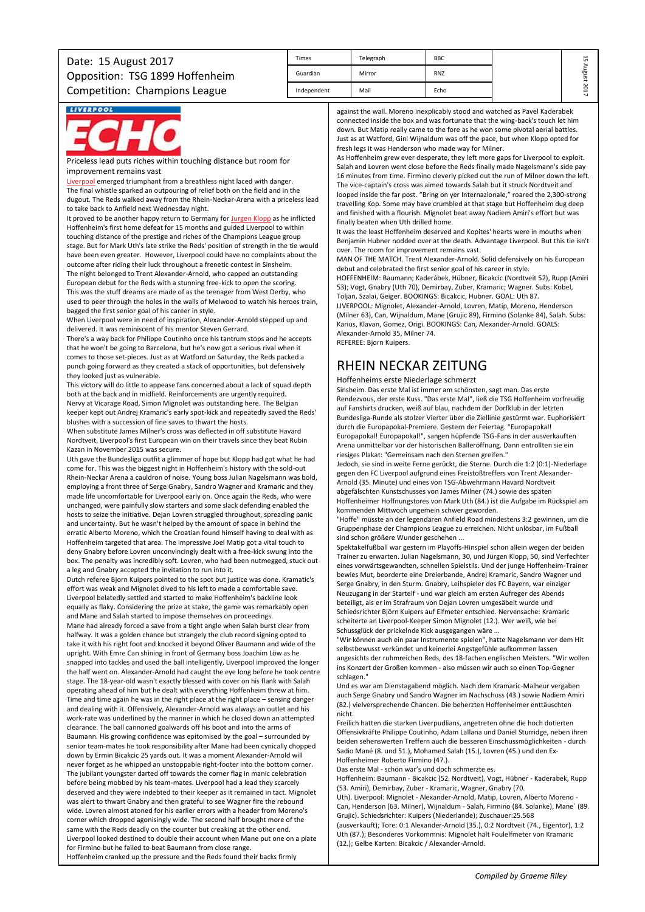Date: 15 August 2017 Opposition: TSG 1899 Hoffenheim Competition: Champions League

|  | Times       | Telegraph | <b>BBC</b> | 늕     |  |  |
|--|-------------|-----------|------------|-------|--|--|
|  | Guardian    | Mirror    | <b>RNZ</b> | lgust |  |  |
|  | Independent | Mail      | Echo       | 201   |  |  |

# **LIVERPOOL**

Priceless lead puts riches within touching distance but room for improvement remains vast

verpool emerged triumphant from a breathless night laced with danger. The final whistle sparked an outpouring of relief both on the field and in the dugout. The Reds walked away from the Rhein-Neckar-Arena with a priceless lead to take back to Anfield next Wednesday night.

It proved to be another happy return to Germany fo[r Jurgen Klopp](http://www.liverpoolecho.co.uk/all-about/jurgen-klopp) as he inflicted Hoffenheim's first home defeat for 15 months and guided Liverpool to within touching distance of the prestige and riches of the Champions League group stage. But for Mark Uth's late strike the Reds' position of strength in the tie would have been even greater. However, Liverpool could have no complaints about the outcome after riding their luck throughout a frenetic contest in Sinsheim. The night belonged to Trent Alexander-Arnold, who capped an outstanding European debut for the Reds with a stunning free-kick to open the scoring.

This was the stuff dreams are made of as the teenager from West Derby, who used to peer through the holes in the walls of Melwood to watch his heroes train, bagged the first senior goal of his career in style.

When Liverpool were in need of inspiration, Alexander-Arnold stepped up and delivered. It was reminiscent of his mentor Steven Gerrard.

There's a way back for Philippe Coutinho once his tantrum stops and he accepts that he won't be going to Barcelona, but he's now got a serious rival when it comes to those set-pieces. Just as at Watford on Saturday, the Reds packed a punch going forward as they created a stack of opportunities, but defensively they looked just as vulnerable.

This victory will do little to appease fans concerned about a lack of squad depth both at the back and in midfield. Reinforcements are urgently required. Nervy at Vicarage Road, Simon Mignolet was outstanding here. The Belgian keeper kept out Andrej Kramaric's early spot-kick and repeatedly saved the Reds' blushes with a succession of fine saves to thwart the hosts.

When substitute James Milner's cross was deflected in off substitute Havard Nordtveit, Liverpool's first European win on their travels since they beat Rubin Kazan in November 2015 was secure.

Uth gave the Bundesliga outfit a glimmer of hope but Klopp had got what he had come for. This was the biggest night in Hoffenheim's history with the sold-out Rhein-Neckar Arena a cauldron of noise. Young boss Julian Nagelsmann was bold, employing a front three of Serge Gnabry, Sandro Wagner and Kramaric and they made life uncomfortable for Liverpool early on. Once again the Reds, who were unchanged, were painfully slow starters and some slack defending enabled the hosts to seize the initiative. Dejan Lovren struggled throughout, spreading panic and uncertainty. But he wasn't helped by the amount of space in behind the erratic Alberto Moreno, which the Croatian found himself having to deal with as Hoffenheim targeted that area. The impressive Joel Matip got a vital touch to deny Gnabry before Lovren unconvincingly dealt with a free-kick swung into the box. The penalty was incredibly soft. Lovren, who had been nutmegged, stuck out a leg and Gnabry accepted the invitation to run into it.

Dutch referee Bjorn Kuipers pointed to the spot but justice was done. Kramatic's effort was weak and Mignolet dived to his left to made a comfortable save. Liverpool belatedly settled and started to make Hoffenheim's backline look equally as flaky. Considering the prize at stake, the game was remarkably open and Mane and Salah started to impose themselves on proceedings.

Mane had already forced a save from a tight angle when Salah burst clear from halfway. It was a golden chance but strangely the club record signing opted to take it with his right foot and knocked it beyond Oliver Baumann and wide of the upright. With Emre Can shining in front of Germany boss Joachim Löw as he snapped into tackles and used the ball intelligently, Liverpool improved the longer the half went on. Alexander-Arnold had caught the eye long before he took centre stage. The 18-year-old wasn't exactly blessed with cover on his flank with Salah operating ahead of him but he dealt with everything Hoffenheim threw at him. Time and time again he was in the right place at the right place – sensing danger and dealing with it. Offensively, Alexander-Arnold was always an outlet and his work-rate was underlined by the manner in which he closed down an attempted clearance. The ball cannoned goalwards off his boot and into the arms of Baumann. His growing confidence was epitomised by the goal – surrounded by senior team-mates he took responsibility after Mane had been cynically chopped down by Ermin Bicakcic 25 yards out. It was a moment Alexander-Arnold will never forget as he whipped an unstoppable right-footer into the bottom corner. The jubilant youngster darted off towards the corner flag in manic celebration before being mobbed by his team-mates. Liverpool had a lead they scarcely deserved and they were indebted to their keeper as it remained in tact. Mignolet was alert to thwart Gnabry and then grateful to see Wagner fire the rebound wide. Lovren almost atoned for his earlier errors with a header from Moreno's corner which dropped agonisingly wide. The second half brought more of the same with the Reds deadly on the counter but creaking at the other end. Liverpool looked destined to double their account when Mane put one on a plate for Firmino but he failed to beat Baumann from close range. Hoffenheim cranked up the pressure and the Reds found their backs firmly

against the wall. Moreno inexplicably stood and watched as Pavel Kaderabek connected inside the box and was fortunate that the wing-back's touch let him down. But Matip really came to the fore as he won some pivotal aerial battles. Just as at Watford, Gini Wijnaldum was off the pace, but when Klopp opted for fresh legs it was Henderson who made way for Milner.

As Hoffenheim grew ever desperate, they left more gaps for Liverpool to exploit. Salah and Lovren went close before the Reds finally made Nagelsmann's side pay 16 minutes from time. Firmino cleverly picked out the run of Milner down the left. The vice-captain's cross was aimed towards Salah but it struck Nordtveit and looped inside the far post. "Bring on yer Internazionale," roared the 2,300-strong travelling Kop. Some may have crumbled at that stage but Hoffenheim dug deep and finished with a flourish. Mignolet beat away Nadiem Amiri's effort but was finally beaten when Uth drilled home.

It was the least Hoffenheim deserved and Kopites' hearts were in mouths when Benjamin Hubner nodded over at the death. Advantage Liverpool. But this tie isn't over. The room for improvement remains vast.

MAN OF THE MATCH. Trent Alexander-Arnold. Solid defensively on his European debut and celebrated the first senior goal of his career in style.

HOFFENHEIM: Baumann; Kaderábek, Hübner, Bicakcic (Nordtveit 52), Rupp (Amiri 53); Vogt, Gnabry (Uth 70), Demirbay, Zuber, Kramaric; Wagner. Subs: Kobel, Toljan, Szalai, Geiger. BOOKINGS: Bicakcic, Hubner. GOAL: Uth 87.

LIVERPOOL: Mignolet, Alexander-Arnold, Lovren, Matip, Moreno, Henderson (Milner 63), Can, Wijnaldum, Mane (Grujic 89), Firmino (Solanke 84), Salah. Subs: Karius, Klavan, Gomez, Origi. BOOKINGS: Can, Alexander-Arnold. GOALS: Alexander-Arnold 35, Milner 74.

REFEREE: Bjorn Kuipers.

#### RHEIN NECKAR ZEITUNG

Hoffenheims erste Niederlage schmerzt

Sinsheim. Das erste Mal ist immer am schönsten, sagt man. Das erste Rendezvous, der erste Kuss. "Das erste Mal", ließ die TSG Hoffenheim vorfreudig auf Fanshirts drucken, weiß auf blau, nachdem der Dorfklub in der letzten Bundesliga-Runde als stolzer Vierter über die Ziellinie gestürmt war. Euphorisiert durch die Europapokal-Premiere. Gestern der Feiertag. "Europapokal! Europapokal! Europapokal!", sangen hüpfende TSG-Fans in der ausverkauften Arena unmittelbar vor der historischen Balleröffnung. Dann entrollten sie ein riesiges Plakat: "Gemeinsam nach den Sternen greifen."

Jedoch, sie sind in weite Ferne gerückt, die Sterne. Durch die 1:2 (0:1)-Niederlage gegen den FC Liverpool aufgrund eines Freistoßtreffers von Trent Alexander-Arnold (35. Minute) und eines von TSG-Abwehrmann Havard Nordtveit abgefälschten Kunstschusses von James Milner (74.) sowie des späten Hoffenheimer Hoffnungstores von Mark Uth (84.) ist die Aufgabe im Rückspiel am kommenden Mittwoch ungemein schwer geworden.

"Hoffe" müsste an der legendären Anfield Road mindestens 3:2 gewinnen, um die Gruppenphase der Champions League zu erreichen. Nicht unlösbar, im Fußball sind schon größere Wunder geschehen ...

Spektakelfußball war gestern im Playoffs-Hinspiel schon allein wegen der beiden Trainer zu erwarten. Julian Nagelsmann, 30, und Jürgen Klopp, 50, sind Verfechter eines vorwärtsgewandten, schnellen Spielstils. Und der junge Hoffenheim-Trainer bewies Mut, beorderte eine Dreierbande, Andrej Kramaric, Sandro Wagner und Serge Gnabry, in den Sturm. Gnabry, Leihspieler des FC Bayern, war einziger Neuzugang in der Startelf - und war gleich am ersten Aufreger des Abends beteiligt, als er im Strafraum von Dejan Lovren umgesäbelt wurde und Schiedsrichter Björn Kuipers auf Elfmeter entschied. Nervensache: Kramaric scheiterte an Liverpool-Keeper Simon Mignolet (12.). Wer weiß, wie bei Schussglück der prickelnde Kick ausgegangen wäre …

"Wir können auch ein paar Instrumente spielen", hatte Nagelsmann vor dem Hit selbstbewusst verkündet und keinerlei Angstgefühle aufkommen lassen angesichts der ruhmreichen Reds, des 18-fachen englischen Meisters. "Wir wollen ins Konzert der Großen kommen - also müssen wir auch so einen Top-Gegner schlagen."

Und es war am Dienstagabend möglich. Nach dem Kramaric-Malheur vergaben auch Serge Gnabry und Sandro Wagner im Nachschuss (43.) sowie Nadiem Amiri (82.) vielversprechende Chancen. Die beherzten Hoffenheimer enttäuschten nicht.

Freilich hatten die starken Liverpudlians, angetreten ohne die hoch dotierten Offensivkräfte Philippe Coutinho, Adam Lallana und Daniel Sturridge, neben ihren beiden sehenswerten Treffern auch die besseren Einschussmöglichkeiten - durch Sadio Mané (8. und 51.), Mohamed Salah (15.), Lovren (45.) und den Ex-Hoffenheimer Roberto Firmino (47.).

Das erste Mal - schön war's und doch schmerzte es.

Hoffenheim: Baumann - Bicakcic (52. Nordtveit), Vogt, Hübner - Kaderabek, Rupp (53. Amiri), Demirbay, Zuber - Kramaric, Wagner, Gnabry (70.

Uth). Liverpool: Mignolet - Alexander-Arnold, Matip, Lovren, Alberto Moreno - Can, Henderson (63. Milner), Wijnaldum - Salah, Firmino (84. Solanke), Mane´ (89. Grujic). Schiedsrichter: Kuipers (Niederlande); Zuschauer:25.568 (ausverkauft); Tore: 0:1 Alexander-Arnold (35.), 0:2 Nordtveit (74., Eigentor), 1:2 Uth (87.); Besonderes Vorkommnis: Mignolet hält Foulelfmeter von Kramaric (12.); Gelbe Karten: Bicakcic / Alexander-Arnold.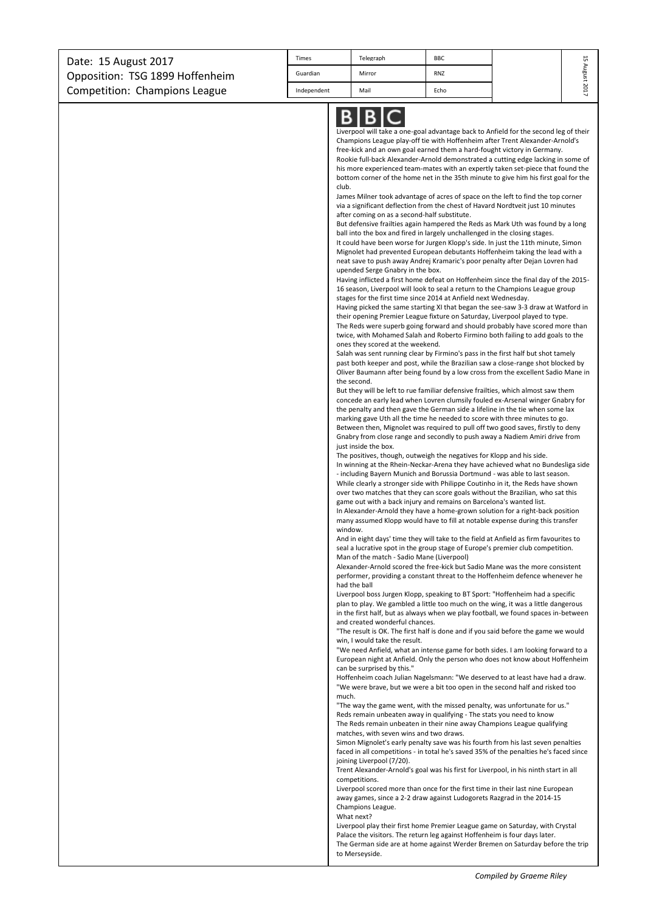| Date: 15 August 2017            | Times       | Telegraph | <b>BBC</b> |  |
|---------------------------------|-------------|-----------|------------|--|
| Opposition: TSG 1899 Hoffenheim | Guardian    | Mirror    | <b>RNZ</b> |  |
| Competition: Champions League   | Independent | Mail      | Echo       |  |

#### B. B

Liverpool will take a one-goal advantage back to Anfield for the second leg of their Champions League play-off tie with Hoffenheim after Trent Alexander-Arnold's free-kick and an own goal earned them a hard-fought victory in Germany. Rookie full-back Alexander-Arnold demonstrated a cutting edge lacking in some of

his more experienced team-mates with an expertly taken set-piece that found the bottom corner of the home net in the 35th minute to give him his first goal for the club.

James Milner took advantage of acres of space on the left to find the top corner via a significant deflection from the chest of Havard Nordtveit just 10 minutes after coming on as a second-half substitute.

But defensive frailties again hampered the Reds as Mark Uth was found by a long ball into the box and fired in largely unchallenged in the closing stages.

It could have been worse for Jurgen Klopp's side. In just the 11th minute, Simon Mignolet had prevented European debutants Hoffenheim taking the lead with a neat save to push away Andrej Kramaric's poor penalty after Dejan Lovren had upended Serge Gnabry in the box.

Having inflicted a first home defeat on Hoffenheim since the final day of the 2015- 16 season, Liverpool will look to seal a return to the Champions League group stages for the first time since 2014 at Anfield next Wednesday.

Having picked the same starting XI that began the see-saw 3-3 draw at Watford in their opening Premier League fixture on Saturday, Liverpool played to type. The Reds were superb going forward and should probably have scored more than twice, with Mohamed Salah and Roberto Firmino both failing to add goals to the

ones they scored at the weekend. Salah was sent running clear by Firmino's pass in the first half but shot tamely past both keeper and post, while the Brazilian saw a close-range shot blocked by Oliver Baumann after being found by a low cross from the excellent Sadio Mane in

the second. But they will be left to rue familiar defensive frailties, which almost saw them concede an early lead when Lovren clumsily fouled ex-Arsenal winger Gnabry for

the penalty and then gave the German side a lifeline in the tie when some lax marking gave Uth all the time he needed to score with three minutes to go. Between then, Mignolet was required to pull off two good saves, firstly to deny Gnabry from close range and secondly to push away a Nadiem Amiri drive from just inside the box.

.<br>The positives, though, outweigh the negatives for Klopp and his side.

In winning at the Rhein-Neckar-Arena they have achieved what no Bundesliga side - including Bayern Munich and Borussia Dortmund - was able to last season. While clearly a stronger side with Philippe Coutinho in it, the Reds have shown over two matches that they can score goals without the Brazilian, who sat this

game out with a back injury and remains on Barcelona's wanted list. In Alexander-Arnold they have a home-grown solution for a right-back position many assumed Klopp would have to fill at notable expense during this transfer window.

And in eight days' time they will take to the field at Anfield as firm favourites to seal a lucrative spot in the group stage of Europe's premier club competition. Man of the match - Sadio Mane (Liverpool)

Alexander-Arnold scored the free-kick but Sadio Mane was the more consistent performer, providing a constant threat to the Hoffenheim defence whenever he had the ball

Liverpool boss Jurgen Klopp, speaking to BT Sport: "Hoffenheim had a specific plan to play. We gambled a little too much on the wing, it was a little dangerous in the first half, but as always when we play football, we found spaces in-between and created wonderful chances.

"The result is OK. The first half is done and if you said before the game we would win, I would take the result.

"We need Anfield, what an intense game for both sides. I am looking forward to a European night at Anfield. Only the person who does not know about Hoffenheim can be surprised by this."

Hoffenheim coach Julian Nagelsmann: "We deserved to at least have had a draw. "We were brave, but we were a bit too open in the second half and risked too much.

"The way the game went, with the missed penalty, was unfortunate for us." Reds remain unbeaten away in qualifying - The stats you need to know The Reds remain unbeaten in their nine away Champions League qualifying

matches, with seven wins and two draws.

Simon Mignolet's early penalty save was his fourth from his last seven penalties faced in all competitions - in total he's saved 35% of the penalties he's faced since joining Liverpool (7/20).

Trent Alexander-Arnold's goal was his first for Liverpool, in his ninth start in all competitions.

Liverpool scored more than once for the first time in their last nine European away games, since a 2-2 draw against Ludogorets Razgrad in the 2014-15 Champions League.

What next?

Liverpool play their first home Premier League game on Saturday, with Crystal Palace the visitors. The return leg against Hoffenheim is four days later. The German side are at home against Werder Bremen on Saturday before the trip to Merseyside.